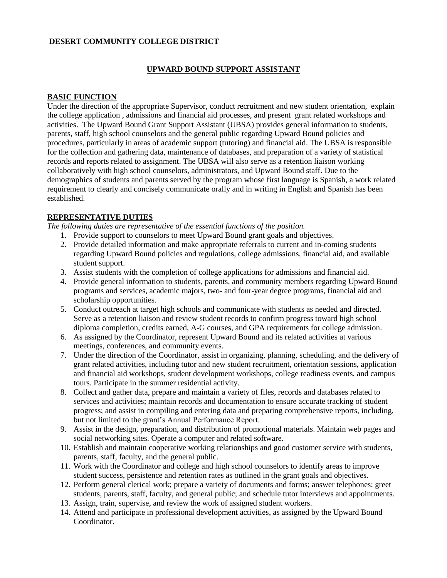### **DESERT COMMUNITY COLLEGE DISTRICT**

#### **UPWARD BOUND SUPPORT ASSISTANT**

#### **BASIC FUNCTION**

Under the direction of the appropriate Supervisor, conduct recruitment and new student orientation, explain the college application , admissions and financial aid processes, and present grant related workshops and activities. The Upward Bound Grant Support Assistant (UBSA) provides general information to students, parents, staff, high school counselors and the general public regarding Upward Bound policies and procedures, particularly in areas of academic support (tutoring) and financial aid. The UBSA is responsible for the collection and gathering data, maintenance of databases, and preparation of a variety of statistical records and reports related to assignment. The UBSA will also serve as a retention liaison working collaboratively with high school counselors, administrators, and Upward Bound staff. Due to the demographics of students and parents served by the program whose first language is Spanish, a work related requirement to clearly and concisely communicate orally and in writing in English and Spanish has been established.

### **REPRESENTATIVE DUTIES**

*The following duties are representative of the essential functions of the position.*

- 1. Provide support to counselors to meet Upward Bound grant goals and objectives.
- 2. Provide detailed information and make appropriate referrals to current and in-coming students regarding Upward Bound policies and regulations, college admissions, financial aid, and available student support.
- 3. Assist students with the completion of college applications for admissions and financial aid.
- 4. Provide general information to students, parents, and community members regarding Upward Bound programs and services, academic majors, two- and four-year degree programs, financial aid and scholarship opportunities.
- 5. Conduct outreach at target high schools and communicate with students as needed and directed. Serve as a retention liaison and review student records to confirm progress toward high school diploma completion, credits earned, A-G courses, and GPA requirements for college admission.
- 6. As assigned by the Coordinator, represent Upward Bound and its related activities at various meetings, conferences, and community events.
- 7. Under the direction of the Coordinator, assist in organizing, planning, scheduling, and the delivery of grant related activities, including tutor and new student recruitment, orientation sessions, application and financial aid workshops, student development workshops, college readiness events, and campus tours. Participate in the summer residential activity.
- 8. Collect and gather data, prepare and maintain a variety of files, records and databases related to services and activities; maintain records and documentation to ensure accurate tracking of student progress; and assist in compiling and entering data and preparing comprehensive reports, including, but not limited to the grant's Annual Performance Report.
- 9. Assist in the design, preparation, and distribution of promotional materials. Maintain web pages and social networking sites. Operate a computer and related software.
- 10. Establish and maintain cooperative working relationships and good customer service with students, parents, staff, faculty, and the general public.
- 11. Work with the Coordinator and college and high school counselors to identify areas to improve student success, persistence and retention rates as outlined in the grant goals and objectives.
- 12. Perform general clerical work; prepare a variety of documents and forms; answer telephones; greet students, parents, staff, faculty, and general public; and schedule tutor interviews and appointments.
- 13. Assign, train, supervise, and review the work of assigned student workers.
- 14. Attend and participate in professional development activities, as assigned by the Upward Bound Coordinator.